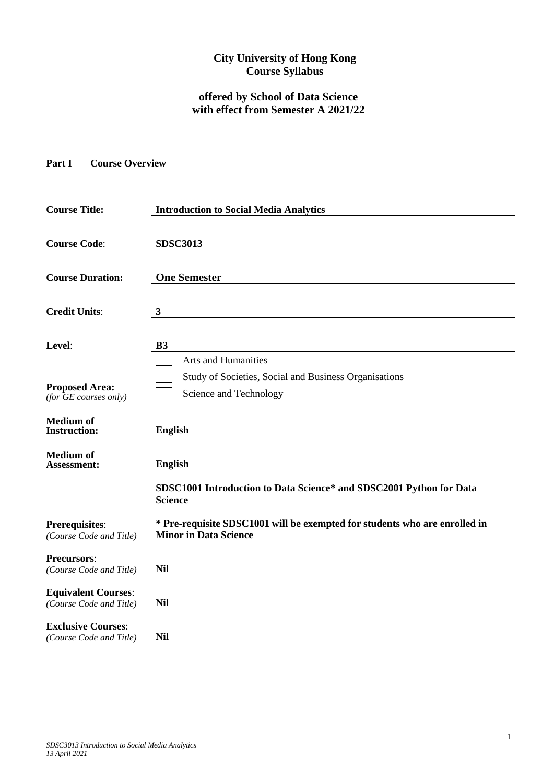# **City University of Hong Kong Course Syllabus**

# **offered by School of Data Science with effect from Semester A 2021/22**

### **Part I Course Overview**

| <b>Course Title:</b>                                  | <b>Introduction to Social Media Analytics</b>                                                                 |
|-------------------------------------------------------|---------------------------------------------------------------------------------------------------------------|
| <b>Course Code:</b>                                   | <b>SDSC3013</b>                                                                                               |
| <b>Course Duration:</b>                               | <b>One Semester</b>                                                                                           |
| <b>Credit Units:</b>                                  | $\mathbf{3}$                                                                                                  |
| Level:                                                | <b>B3</b>                                                                                                     |
| <b>Proposed Area:</b><br>(for $GE$ courses only)      | <b>Arts and Humanities</b><br>Study of Societies, Social and Business Organisations<br>Science and Technology |
| <b>Medium of</b><br><b>Instruction:</b>               | <b>English</b>                                                                                                |
| <b>Medium of</b><br><b>Assessment:</b>                | <b>English</b>                                                                                                |
|                                                       | SDSC1001 Introduction to Data Science* and SDSC2001 Python for Data<br><b>Science</b>                         |
| <b>Prerequisites:</b><br>(Course Code and Title)      | * Pre-requisite SDSC1001 will be exempted for students who are enrolled in<br><b>Minor in Data Science</b>    |
| <b>Precursors:</b><br>(Course Code and Title)         | <b>Nil</b>                                                                                                    |
| <b>Equivalent Courses:</b><br>(Course Code and Title) | Nil                                                                                                           |
| <b>Exclusive Courses:</b><br>(Course Code and Title)  | <b>Nil</b>                                                                                                    |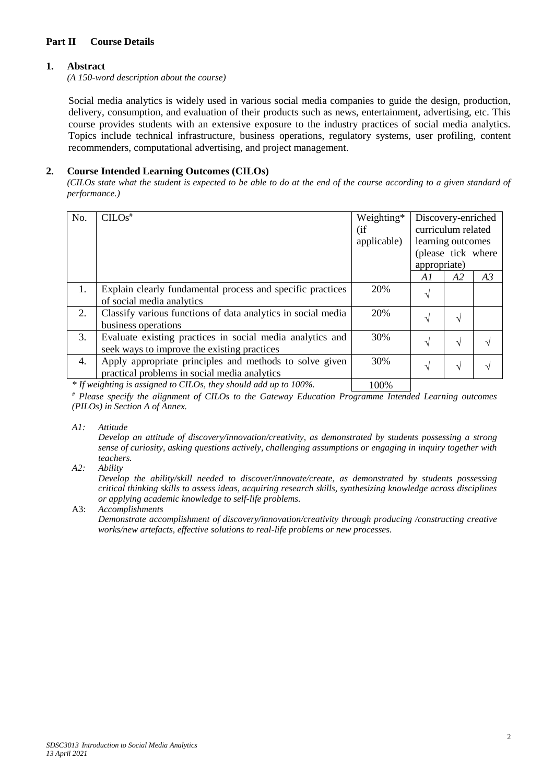## **Part II Course Details**

### **1. Abstract**

*(A 150-word description about the course)*

Social media analytics is widely used in various social media companies to guide the design, production, delivery, consumption, and evaluation of their products such as news, entertainment, advertising, etc. This course provides students with an extensive exposure to the industry practices of social media analytics. Topics include technical infrastructure, business operations, regulatory systems, user profiling, content recommenders, computational advertising, and project management.

## **2. Course Intended Learning Outcomes (CILOs)**

*(CILOs state what the student is expected to be able to do at the end of the course according to a given standard of performance.)*

| No. | $CLOS$ <sup>#</sup>                                          | Weighting*  | Discovery-enriched |    |    |
|-----|--------------------------------------------------------------|-------------|--------------------|----|----|
|     |                                                              | (i f)       | curriculum related |    |    |
|     |                                                              | applicable) | learning outcomes  |    |    |
|     |                                                              |             | (please tick where |    |    |
|     |                                                              |             | appropriate)       |    |    |
|     |                                                              |             | A1                 | A2 | A3 |
| 1.  | Explain clearly fundamental process and specific practices   | 20%         | اد                 |    |    |
|     | of social media analytics                                    |             |                    |    |    |
| 2.  | Classify various functions of data analytics in social media | 20%         | $\mathcal{L}$      | N  |    |
|     | business operations                                          |             |                    |    |    |
| 3.  | Evaluate existing practices in social media analytics and    | 30%         | اد                 | ٦l |    |
|     | seek ways to improve the existing practices                  |             |                    |    |    |
| 4.  | Apply appropriate principles and methods to solve given      | 30%         | N                  | N  |    |
|     | practical problems in social media analytics                 |             |                    |    |    |
|     |                                                              |             |                    |    |    |

*\* If weighting is assigned to CILOs, they should add up to 100%.* 100%

*# Please specify the alignment of CILOs to the Gateway Education Programme Intended Learning outcomes (PILOs) in Section A of Annex.* 

*A1: Attitude* 

*Develop an attitude of discovery/innovation/creativity, as demonstrated by students possessing a strong sense of curiosity, asking questions actively, challenging assumptions or engaging in inquiry together with teachers.*

*A2: Ability*

*Develop the ability/skill needed to discover/innovate/create, as demonstrated by students possessing critical thinking skills to assess ideas, acquiring research skills, synthesizing knowledge across disciplines or applying academic knowledge to self-life problems.*

A3: *Accomplishments*

*Demonstrate accomplishment of discovery/innovation/creativity through producing /constructing creative works/new artefacts, effective solutions to real-life problems or new processes.*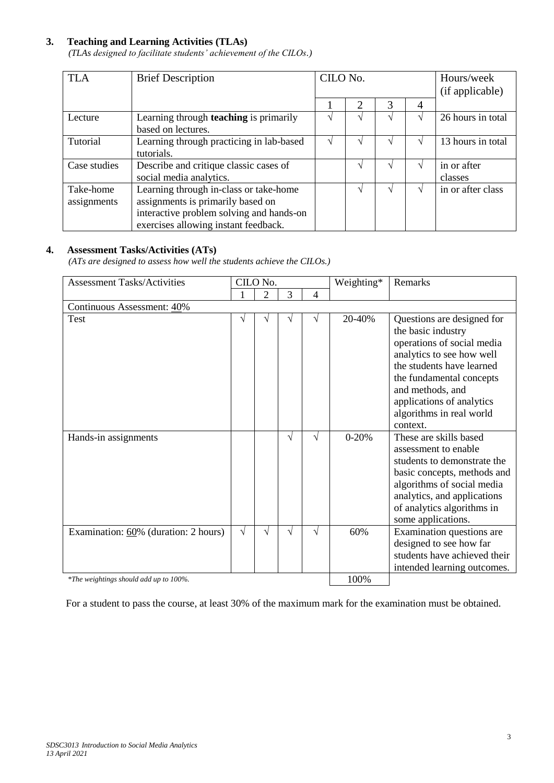# **3. Teaching and Learning Activities (TLAs)**

*(TLAs designed to facilitate students' achievement of the CILOs.)*

| <b>TLA</b>               | <b>Brief Description</b>                                                                                                                                        | CILO No. |                             | Hours/week<br>(if applicable) |                |                        |
|--------------------------|-----------------------------------------------------------------------------------------------------------------------------------------------------------------|----------|-----------------------------|-------------------------------|----------------|------------------------|
|                          |                                                                                                                                                                 |          | $\mathcal{D}_{\mathcal{L}}$ | 3                             | $\overline{A}$ |                        |
| Lecture                  | Learning through <b>teaching</b> is primarily<br>based on lectures.                                                                                             |          |                             |                               |                | 26 hours in total      |
| Tutorial                 | Learning through practicing in lab-based<br>tutorials.                                                                                                          |          |                             |                               |                | 13 hours in total      |
| Case studies             | Describe and critique classic cases of<br>social media analytics.                                                                                               |          |                             |                               |                | in or after<br>classes |
| Take-home<br>assignments | Learning through in-class or take-home<br>assignments is primarily based on<br>interactive problem solving and hands-on<br>exercises allowing instant feedback. |          |                             | V                             |                | in or after class      |

# **4. Assessment Tasks/Activities (ATs)**

*(ATs are designed to assess how well the students achieve the CILOs.)*

| <b>Assessment Tasks/Activities</b>     |            | CILO No.       |   |            | Weighting* | Remarks                                                                                                                                                                                                                                                       |  |
|----------------------------------------|------------|----------------|---|------------|------------|---------------------------------------------------------------------------------------------------------------------------------------------------------------------------------------------------------------------------------------------------------------|--|
|                                        |            | $\overline{2}$ | 3 | 4          |            |                                                                                                                                                                                                                                                               |  |
| Continuous Assessment: 40%             |            |                |   |            |            |                                                                                                                                                                                                                                                               |  |
| Test                                   | V          | V              | V | V          | 20-40%     | Questions are designed for<br>the basic industry<br>operations of social media<br>analytics to see how well<br>the students have learned<br>the fundamental concepts<br>and methods, and<br>applications of analytics<br>algorithms in real world<br>context. |  |
| Hands-in assignments                   |            |                | V | $\sqrt{ }$ | $0 - 20%$  | These are skills based<br>assessment to enable<br>students to demonstrate the<br>basic concepts, methods and<br>algorithms of social media<br>analytics, and applications<br>of analytics algorithms in<br>some applications.                                 |  |
| Examination: 60% (duration: 2 hours)   | $\sqrt{ }$ | V              | V | V          | 60%        | Examination questions are<br>designed to see how far<br>students have achieved their<br>intended learning outcomes.                                                                                                                                           |  |
| *The weightings should add up to 100%. | 100%       |                |   |            |            |                                                                                                                                                                                                                                                               |  |

For a student to pass the course, at least 30% of the maximum mark for the examination must be obtained.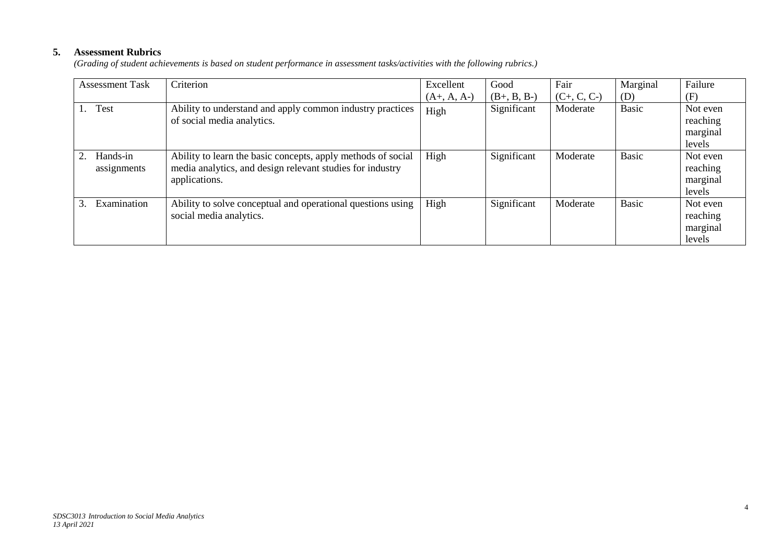# **5. Assessment Rubrics**

*(Grading of student achievements is based on student performance in assessment tasks/activities with the following rubrics.)*

| <b>Assessment Task</b>  | Criterion                                                                                                                                  | Excellent     | Good          | Fair          | Marginal     | Failure                                    |
|-------------------------|--------------------------------------------------------------------------------------------------------------------------------------------|---------------|---------------|---------------|--------------|--------------------------------------------|
|                         |                                                                                                                                            | $(A+, A, A-)$ | $(B+, B, B-)$ | $(C+, C, C-)$ | (D)          | (F)                                        |
| <b>Test</b>             | Ability to understand and apply common industry practices<br>of social media analytics.                                                    | High          | Significant   | Moderate      | <b>Basic</b> | Not even<br>reaching<br>marginal<br>levels |
| Hands-in<br>assignments | Ability to learn the basic concepts, apply methods of social<br>media analytics, and design relevant studies for industry<br>applications. | High          | Significant   | Moderate      | <b>Basic</b> | Not even<br>reaching<br>marginal<br>levels |
| Examination<br>3.       | Ability to solve conceptual and operational questions using<br>social media analytics.                                                     | High          | Significant   | Moderate      | <b>Basic</b> | Not even<br>reaching<br>marginal<br>levels |